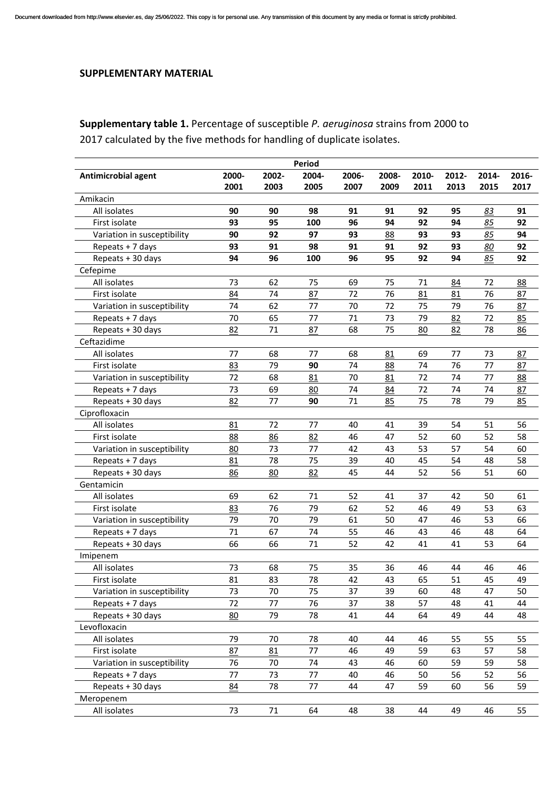## **SUPPLEMENTARY MATERIAL**

## **Supplementary table 1.** Percentage of susceptible *P. aeruginosa* strains from 2000 to 2017 calculated by the five methods for handling of duplicate isolates.

| <b>Period</b>               |       |        |       |       |       |       |       |       |       |  |
|-----------------------------|-------|--------|-------|-------|-------|-------|-------|-------|-------|--|
| Antimicrobial agent         | 2000- | 2002-  | 2004- | 2006- | 2008- | 2010- | 2012- | 2014- | 2016- |  |
|                             | 2001  | 2003   | 2005  | 2007  | 2009  | 2011  | 2013  | 2015  | 2017  |  |
| Amikacin                    |       |        |       |       |       |       |       |       |       |  |
| All isolates                | 90    | 90     | 98    | 91    | 91    | 92    | 95    | 83    | 91    |  |
| First isolate               | 93    | 95     | 100   | 96    | 94    | 92    | 94    | 85    | 92    |  |
| Variation in susceptibility | 90    | 92     | 97    | 93    | 88    | 93    | 93    | 85    | 94    |  |
| Repeats + 7 days            | 93    | 91     | 98    | 91    | 91    | 92    | 93    | 80    | 92    |  |
| Repeats + 30 days           | 94    | 96     | 100   | 96    | 95    | 92    | 94    | 85    | 92    |  |
| Cefepime                    |       |        |       |       |       |       |       |       |       |  |
| All isolates                | 73    | 62     | 75    | 69    | 75    | 71    | 84    | 72    | 88    |  |
| First isolate               | 84    | 74     | 87    | 72    | 76    | 81    | 81    | 76    | 87    |  |
| Variation in susceptibility | 74    | 62     | 77    | 70    | 72    | 75    | 79    | 76    | 87    |  |
| Repeats + 7 days            | 70    | 65     | 77    | 71    | 73    | 79    | 82    | 72    | 85    |  |
| Repeats + 30 days           | 82    | 71     | 87    | 68    | 75    | 80    | 82    | 78    | 86    |  |
| Ceftazidime                 |       |        |       |       |       |       |       |       |       |  |
| All isolates                | 77    | 68     | 77    | 68    | 81    | 69    | 77    | 73    | 87    |  |
| First isolate               | 83    | 79     | 90    | 74    | 88    | 74    | 76    | 77    | 87    |  |
| Variation in susceptibility | 72    | 68     | 81    | 70    | 81    | 72    | 74    | 77    | 88    |  |
| Repeats + 7 days            | 73    | 69     | 80    | 74    | 84    | 72    | 74    | 74    | 87    |  |
| Repeats + 30 days           | 82    | 77     | 90    | 71    | 85    | 75    | 78    | 79    | 85    |  |
| Ciprofloxacin               |       |        |       |       |       |       |       |       |       |  |
| All isolates                | 81    | 72     | 77    | 40    | 41    | 39    | 54    | 51    | 56    |  |
| First isolate               | 88    | 86     | 82    | 46    | 47    | 52    | 60    | 52    | 58    |  |
| Variation in susceptibility | 80    | 73     | 77    | 42    | 43    | 53    | 57    | 54    | 60    |  |
| Repeats + 7 days            | 81    | 78     | 75    | 39    | 40    | 45    | 54    | 48    | 58    |  |
| Repeats + 30 days           | 86    | 80     | 82    | 45    | 44    | 52    | 56    | 51    | 60    |  |
| Gentamicin                  |       |        |       |       |       |       |       |       |       |  |
| All isolates                | 69    | 62     | 71    | 52    | 41    | 37    | 42    | 50    | 61    |  |
| First isolate               | 83    | 76     | 79    | 62    | 52    | 46    | 49    | 53    | 63    |  |
| Variation in susceptibility | 79    | 70     | 79    | 61    | 50    | 47    | 46    | 53    | 66    |  |
| Repeats + 7 days            | 71    | 67     | 74    | 55    | 46    | 43    | 46    | 48    | 64    |  |
| Repeats + 30 days           | 66    | 66     | 71    | 52    | 42    | 41    | 41    | 53    | 64    |  |
| Imipenem                    |       |        |       |       |       |       |       |       |       |  |
| All isolates                | 73    | 68     | 75    | 35    | 36    | 46    | 44    | 46    | 46    |  |
| First isolate               | 81    | 83     | 78    | 42    | 43    | 65    | 51    | 45    | 49    |  |
| Variation in susceptibility | 73    | 70     | 75    | 37    | 39    | 60    | 48    | 47    | 50    |  |
| Repeats + 7 days            | 72    | 77     | 76    | 37    | 38    | 57    | 48    | 41    | 44    |  |
| Repeats + 30 days           | 80    | 79     | 78    | 41    | 44    | 64    | 49    | 44    | 48    |  |
| Levofloxacin                |       |        |       |       |       |       |       |       |       |  |
| All isolates                | 79    | 70     | 78    | 40    | 44    | 46    | 55    | 55    | 55    |  |
| First isolate               | 87    | 81     | 77    | 46    | 49    | 59    | 63    | 57    | 58    |  |
| Variation in susceptibility | 76    | 70     | 74    | 43    | 46    | 60    | 59    | 59    | 58    |  |
| Repeats + 7 days            | 77    | 73     | 77    | 40    | 46    | 50    | 56    | 52    | 56    |  |
| Repeats + 30 days           | 84    | 78     | 77    | 44    | 47    | 59    | 60    | 56    | 59    |  |
| Meropenem                   |       |        |       |       |       |       |       |       |       |  |
| All isolates                | 73    | $71\,$ | 64    | 48    | 38    | 44    | 49    | 46    | 55    |  |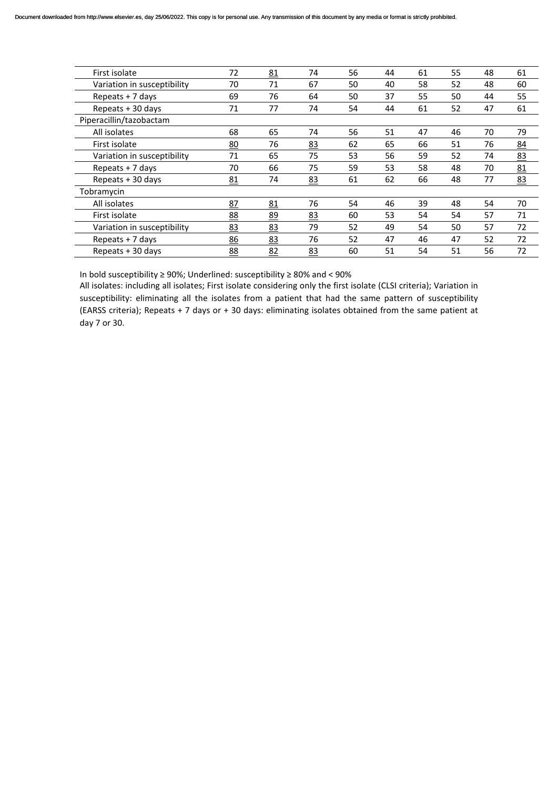| First isolate               | 72        | 81 | 74 | 56 | 44 | 61 | 55 | 48 | 61 |
|-----------------------------|-----------|----|----|----|----|----|----|----|----|
| Variation in susceptibility | 70        | 71 | 67 | 50 | 40 | 58 | 52 | 48 | 60 |
| Repeats + 7 days            | 69        | 76 | 64 | 50 | 37 | 55 | 50 | 44 | 55 |
| Repeats + 30 days           | 71        | 77 | 74 | 54 | 44 | 61 | 52 | 47 | 61 |
| Piperacillin/tazobactam     |           |    |    |    |    |    |    |    |    |
| All isolates                | 68        | 65 | 74 | 56 | 51 | 47 | 46 | 70 | 79 |
| First isolate               | 80        | 76 | 83 | 62 | 65 | 66 | 51 | 76 | 84 |
| Variation in susceptibility | 71        | 65 | 75 | 53 | 56 | 59 | 52 | 74 | 83 |
| Repeats $+7$ days           | 70        | 66 | 75 | 59 | 53 | 58 | 48 | 70 | 81 |
| Repeats + 30 days           | 81        | 74 | 83 | 61 | 62 | 66 | 48 | 77 | 83 |
| Tobramycin                  |           |    |    |    |    |    |    |    |    |
| All isolates                | 87        | 81 | 76 | 54 | 46 | 39 | 48 | 54 | 70 |
| First isolate               | 88        | 89 | 83 | 60 | 53 | 54 | 54 | 57 | 71 |
| Variation in susceptibility | 83        | 83 | 79 | 52 | 49 | 54 | 50 | 57 | 72 |
| Repeats $+7$ days           | 86        | 83 | 76 | 52 | 47 | 46 | 47 | 52 | 72 |
| Repeats + 30 days           | <u>88</u> | 82 | 83 | 60 | 51 | 54 | 51 | 56 | 72 |
|                             |           |    |    |    |    |    |    |    |    |

In bold susceptibility ≥ 90%; Underlined: susceptibility ≥ 80% and < 90%

All isolates: including all isolates; First isolate considering only the first isolate (CLSI criteria); Variation in susceptibility: eliminating all the isolates from a patient that had the same pattern of susceptibility (EARSS criteria); Repeats + 7 days or + 30 days: eliminating isolates obtained from the same patient at day 7 or 30.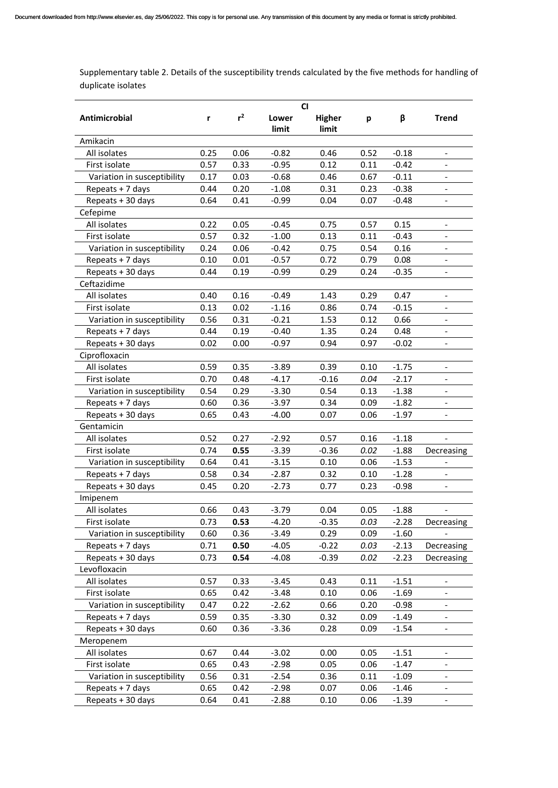Supplementary table 2. Details of the susceptibility trends calculated by the five methods for handling of duplicate isolates

| Antimicrobial               | r    | $r^2$ | Lower<br>limit | <b>Higher</b><br>limit | p    | β       | Trend                        |
|-----------------------------|------|-------|----------------|------------------------|------|---------|------------------------------|
| Amikacin                    |      |       |                |                        |      |         |                              |
| All isolates                | 0.25 | 0.06  | $-0.82$        | 0.46                   | 0.52 | $-0.18$ | $\overline{\phantom{a}}$     |
| First isolate               | 0.57 | 0.33  | $-0.95$        | 0.12                   | 0.11 | $-0.42$ |                              |
| Variation in susceptibility | 0.17 | 0.03  | $-0.68$        | 0.46                   | 0.67 | $-0.11$ |                              |
| Repeats + 7 days            | 0.44 | 0.20  | $-1.08$        | 0.31                   | 0.23 | $-0.38$ |                              |
| Repeats + 30 days           | 0.64 | 0.41  | $-0.99$        | 0.04                   | 0.07 | $-0.48$ |                              |
| Cefepime                    |      |       |                |                        |      |         |                              |
| All isolates                | 0.22 | 0.05  | $-0.45$        | 0.75                   | 0.57 | 0.15    | $\overline{\phantom{a}}$     |
| First isolate               | 0.57 | 0.32  | $-1.00$        | 0.13                   | 0.11 | $-0.43$ | $\overline{\phantom{a}}$     |
| Variation in susceptibility | 0.24 | 0.06  | $-0.42$        | 0.75                   | 0.54 | 0.16    | $\overline{\phantom{a}}$     |
| Repeats + 7 days            | 0.10 | 0.01  | $-0.57$        | 0.72                   | 0.79 | 0.08    |                              |
| Repeats + 30 days           | 0.44 | 0.19  | $-0.99$        | 0.29                   | 0.24 | $-0.35$ |                              |
| Ceftazidime                 |      |       |                |                        |      |         |                              |
| All isolates                | 0.40 | 0.16  | $-0.49$        | 1.43                   | 0.29 | 0.47    | $\overline{\phantom{a}}$     |
| First isolate               | 0.13 | 0.02  | $-1.16$        | 0.86                   | 0.74 | $-0.15$ |                              |
| Variation in susceptibility | 0.56 | 0.31  | $-0.21$        | 1.53                   | 0.12 | 0.66    | $\qquad \qquad \blacksquare$ |
| Repeats + 7 days            | 0.44 | 0.19  | $-0.40$        | 1.35                   | 0.24 | 0.48    | $\overline{\phantom{a}}$     |
| Repeats + 30 days           | 0.02 | 0.00  | $-0.97$        | 0.94                   | 0.97 | $-0.02$ | $\overline{\phantom{a}}$     |
| Ciprofloxacin               |      |       |                |                        |      |         |                              |
| All isolates                | 0.59 | 0.35  | $-3.89$        | 0.39                   | 0.10 | $-1.75$ |                              |
| First isolate               | 0.70 | 0.48  | $-4.17$        | $-0.16$                | 0.04 | $-2.17$ |                              |
| Variation in susceptibility | 0.54 | 0.29  | $-3.30$        | 0.54                   | 0.13 | $-1.38$ |                              |
| Repeats + 7 days            | 0.60 | 0.36  | $-3.97$        | 0.34                   | 0.09 | $-1.82$ |                              |
| Repeats + 30 days           | 0.65 | 0.43  | -4.00          | 0.07                   | 0.06 | $-1.97$ | $\overline{\phantom{a}}$     |
| Gentamicin                  |      |       |                |                        |      |         |                              |
| All isolates                | 0.52 | 0.27  | $-2.92$        | 0.57                   | 0.16 | $-1.18$ | $\overline{\phantom{a}}$     |
| First isolate               | 0.74 | 0.55  | $-3.39$        | $-0.36$                | 0.02 | $-1.88$ | Decreasing                   |
| Variation in susceptibility | 0.64 | 0.41  | $-3.15$        | 0.10                   | 0.06 | $-1.53$ |                              |
| Repeats + 7 days            | 0.58 | 0.34  | $-2.87$        | 0.32                   | 0.10 | $-1.28$ |                              |
| Repeats + 30 days           | 0.45 | 0.20  | $-2.73$        | 0.77                   | 0.23 | $-0.98$ |                              |
| Imipenem                    |      |       |                |                        |      |         |                              |
| All isolates                | 0.66 | 0.43  | $-3.79$        | 0.04                   | 0.05 | $-1.88$ | $\overline{\phantom{a}}$     |
| First isolate               | 0.73 | 0.53  | $-4.20$        | $-0.35$                | 0.03 | $-2.28$ | Decreasing                   |
| Variation in susceptibility | 0.60 | 0.36  | $-3.49$        | 0.29                   | 0.09 | $-1.60$ |                              |
| Repeats + 7 days            | 0.71 | 0.50  | $-4.05$        | $-0.22$                | 0.03 | $-2.13$ | Decreasing                   |
| Repeats + 30 days           | 0.73 | 0.54  | $-4.08$        | $-0.39$                | 0.02 | $-2.23$ | Decreasing                   |
| Levofloxacin                |      |       |                |                        |      |         |                              |
| All isolates                | 0.57 | 0.33  | $-3.45$        | 0.43                   | 0.11 | $-1.51$ |                              |
| First isolate               | 0.65 | 0.42  | $-3.48$        | 0.10                   | 0.06 | $-1.69$ |                              |
| Variation in susceptibility | 0.47 | 0.22  | $-2.62$        | 0.66                   | 0.20 | $-0.98$ |                              |
| Repeats + 7 days            | 0.59 | 0.35  | $-3.30$        | 0.32                   | 0.09 | $-1.49$ | $\qquad \qquad \blacksquare$ |
| Repeats + 30 days           | 0.60 | 0.36  | $-3.36$        | 0.28                   | 0.09 | $-1.54$ | $\blacksquare$               |
| Meropenem                   |      |       |                |                        |      |         |                              |
| All isolates                | 0.67 | 0.44  | $-3.02$        | 0.00                   | 0.05 | $-1.51$ | $\overline{\phantom{a}}$     |
| First isolate               | 0.65 | 0.43  | $-2.98$        | 0.05                   | 0.06 | $-1.47$ |                              |
| Variation in susceptibility | 0.56 | 0.31  | $-2.54$        | 0.36                   | 0.11 | $-1.09$ |                              |
| Repeats + 7 days            | 0.65 | 0.42  | $-2.98$        | 0.07                   | 0.06 | $-1.46$ |                              |
| Repeats + 30 days           | 0.64 | 0.41  | $-2.88$        | 0.10                   | 0.06 | $-1.39$ | $\overline{\phantom{a}}$     |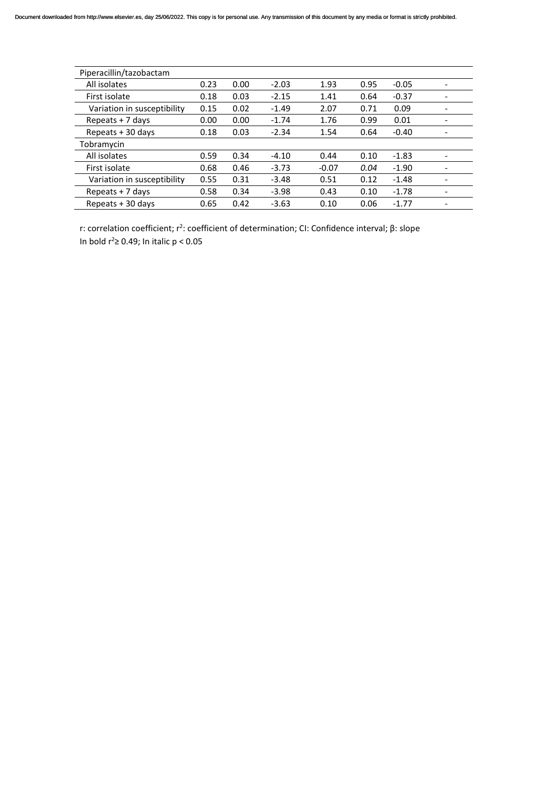| Piperacillin/tazobactam     |      |      |         |         |      |         |  |
|-----------------------------|------|------|---------|---------|------|---------|--|
| All isolates                | 0.23 | 0.00 | $-2.03$ | 1.93    | 0.95 | $-0.05$ |  |
| First isolate               | 0.18 | 0.03 | $-2.15$ | 1.41    | 0.64 | $-0.37$ |  |
| Variation in susceptibility | 0.15 | 0.02 | $-1.49$ | 2.07    | 0.71 | 0.09    |  |
| Repeats $+7$ days           | 0.00 | 0.00 | $-1.74$ | 1.76    | 0.99 | 0.01    |  |
| Repeats + 30 days           | 0.18 | 0.03 | $-2.34$ | 1.54    | 0.64 | $-0.40$ |  |
| Tobramycin                  |      |      |         |         |      |         |  |
| All isolates                | 0.59 | 0.34 | $-4.10$ | 0.44    | 0.10 | $-1.83$ |  |
| First isolate               | 0.68 | 0.46 | $-3.73$ | $-0.07$ | 0.04 | $-1.90$ |  |
| Variation in susceptibility | 0.55 | 0.31 | $-3.48$ | 0.51    | 0.12 | $-1.48$ |  |
| Repeats $+7$ days           | 0.58 | 0.34 | $-3.98$ | 0.43    | 0.10 | $-1.78$ |  |
| Repeats + 30 days           | 0.65 | 0.42 | $-3.63$ | 0.10    | 0.06 | $-1.77$ |  |

r: correlation coefficient; r<sup>2</sup>: coefficient of determination; CI: Confidence interval; β: slope In bold  $r^2 \ge 0.49$ ; In italic  $p < 0.05$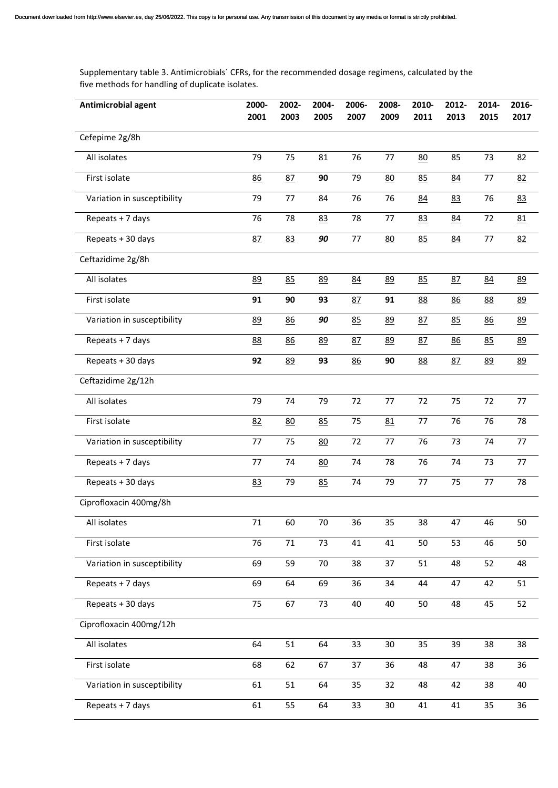Supplementary table 3. Antimicrobials´ CFRs, for the recommended dosage regimens, calculated by the five methods for handling of duplicate isolates.

| Antimicrobial agent         | 2000-<br>2001 | 2002-<br>2003 | 2004-<br>2005 | 2006-<br>2007 | 2008-<br>2009 | 2010-<br>2011 | 2012-<br>2013 | 2014-<br>2015 | 2016-<br>2017 |
|-----------------------------|---------------|---------------|---------------|---------------|---------------|---------------|---------------|---------------|---------------|
| Cefepime 2g/8h              |               |               |               |               |               |               |               |               |               |
|                             |               |               |               |               |               |               |               |               |               |
| All isolates                | 79            | 75            | 81            | 76            | 77            | 80            | 85            | 73            | 82            |
| First isolate               | 86            | 87            | 90            | 79            | 80            | 85            | 84            | 77            | 82            |
| Variation in susceptibility | 79            | 77            | 84            | 76            | 76            | 84            | 83            | 76            | 83            |
| Repeats + 7 days            | 76            | 78            | 83            | 78            | 77            | 83            | 84            | 72            | 81            |
| Repeats + 30 days           | 87            | 83            | 90            | 77            | 80            | 85            | 84            | 77            | 82            |
| Ceftazidime 2g/8h           |               |               |               |               |               |               |               |               |               |
| All isolates                | 89            | 85            | 89            | 84            | 89            | 85            | 87            | 84            | 89            |
| First isolate               | 91            | 90            | 93            | 87            | 91            | 88            | 86            | 88            | 89            |
| Variation in susceptibility | 89            | 86            | 90            | 85            | 89            | 87            | 85            | 86            | 89            |
| Repeats + 7 days            | 88            | 86            | 89            | 87            | <u>89</u>     | 87            | 86            | 85            | 89            |
| Repeats + 30 days           | 92            | 89            | 93            | 86            | 90            | 88            | 87            | 89            | 89            |
| Ceftazidime 2g/12h          |               |               |               |               |               |               |               |               |               |
| All isolates                | 79            | 74            | 79            | 72            | 77            | 72            | 75            | 72            | 77            |
| First isolate               | 82            | 80            | 85            | 75            | 81            | 77            | 76            | 76            | 78            |
| Variation in susceptibility | 77            | 75            | 80            | 72            | 77            | 76            | 73            | 74            | 77            |
| Repeats + 7 days            | 77            | 74            | 80            | 74            | 78            | 76            | 74            | 73            | 77            |
| Repeats + 30 days           | 83            | 79            | 85            | 74            | 79            | 77            | 75            | 77            | 78            |
| Ciprofloxacin 400mg/8h      |               |               |               |               |               |               |               |               |               |
| All isolates                | 71            | 60            | 70            | 36            | 35            | 38            | 47            | 46            | 50            |
| First isolate               | 76            | 71            | 73            | 41            | 41            | 50            | 53            | 46            | 50            |
| Variation in susceptibility | 69            | 59            | 70            | 38            | 37            | 51            | 48            | 52            | 48            |
| Repeats + 7 days            | 69            | 64            | 69            | 36            | 34            | 44            | 47            | 42            | 51            |
| Repeats + 30 days           | 75            | 67            | 73            | 40            | 40            | 50            | 48            | 45            | 52            |
| Ciprofloxacin 400mg/12h     |               |               |               |               |               |               |               |               |               |
| All isolates                | 64            | 51            | 64            | 33            | 30            | 35            | 39            | 38            | 38            |
| First isolate               | 68            | 62            | 67            | 37            | 36            | 48            | 47            | 38            | 36            |
| Variation in susceptibility | 61            | 51            | 64            | 35            | 32            | 48            | 42            | 38            | 40            |
| Repeats + 7 days            | 61            | 55            | 64            | 33            | 30            | 41            | 41            | 35            | 36            |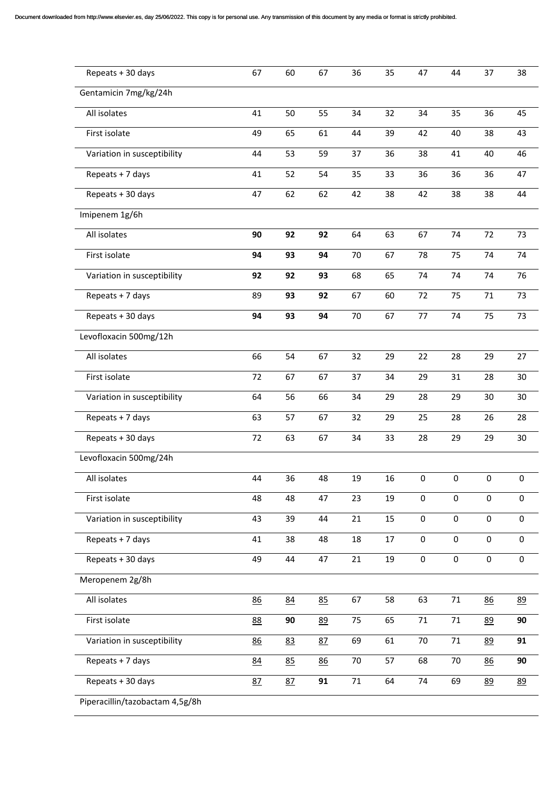| Repeats + 30 days               | 67 | 60 | 67 | 36 | 35 | 47                  | 44          | 37          | 38          |
|---------------------------------|----|----|----|----|----|---------------------|-------------|-------------|-------------|
| Gentamicin 7mg/kg/24h           |    |    |    |    |    |                     |             |             |             |
| All isolates                    | 41 | 50 | 55 | 34 | 32 | 34                  | 35          | 36          | 45          |
| First isolate                   | 49 | 65 | 61 | 44 | 39 | 42                  | 40          | 38          | 43          |
| Variation in susceptibility     | 44 | 53 | 59 | 37 | 36 | 38                  | 41          | 40          | 46          |
| Repeats + 7 days                | 41 | 52 | 54 | 35 | 33 | 36                  | 36          | 36          | 47          |
| Repeats + 30 days               | 47 | 62 | 62 | 42 | 38 | 42                  | 38          | 38          | 44          |
| Imipenem 1g/6h                  |    |    |    |    |    |                     |             |             |             |
| All isolates                    | 90 | 92 | 92 | 64 | 63 | 67                  | 74          | 72          | 73          |
| First isolate                   | 94 | 93 | 94 | 70 | 67 | 78                  | 75          | 74          | 74          |
| Variation in susceptibility     | 92 | 92 | 93 | 68 | 65 | 74                  | 74          | 74          | 76          |
| Repeats + 7 days                | 89 | 93 | 92 | 67 | 60 | 72                  | 75          | 71          | 73          |
| Repeats + 30 days               | 94 | 93 | 94 | 70 | 67 | 77                  | 74          | 75          | 73          |
| Levofloxacin 500mg/12h          |    |    |    |    |    |                     |             |             |             |
| All isolates                    | 66 | 54 | 67 | 32 | 29 | 22                  | 28          | 29          | 27          |
| First isolate                   | 72 | 67 | 67 | 37 | 34 | 29                  | 31          | 28          | 30          |
| Variation in susceptibility     | 64 | 56 | 66 | 34 | 29 | 28                  | 29          | 30          | 30          |
| Repeats + 7 days                | 63 | 57 | 67 | 32 | 29 | 25                  | 28          | 26          | 28          |
| Repeats + 30 days               | 72 | 63 | 67 | 34 | 33 | 28                  | 29          | 29          | 30          |
| Levofloxacin 500mg/24h          |    |    |    |    |    |                     |             |             |             |
| All isolates                    | 44 | 36 | 48 | 19 | 16 | 0                   | 0           | 0           | 0           |
| First isolate                   | 48 | 48 | 47 | 23 | 19 | $\mathbf 0$         | $\mathbf 0$ | $\pmb{0}$   | 0           |
| Variation in susceptibility     | 43 | 39 | 44 | 21 | 15 | $\mathsf{O}\xspace$ | $\pmb{0}$   | $\mathbf 0$ | $\pmb{0}$   |
| Repeats + 7 days                | 41 | 38 | 48 | 18 | 17 | $\mathbf 0$         | $\mathbf 0$ | $\mathbf 0$ | 0           |
| Repeats + 30 days               | 49 | 44 | 47 | 21 | 19 | 0                   | $\mathbf 0$ | $\pmb{0}$   | $\mathbf 0$ |
| Meropenem 2g/8h                 |    |    |    |    |    |                     |             |             |             |
| All isolates                    | 86 | 84 | 85 | 67 | 58 | 63                  | $71\,$      | 86          | 89          |
| First isolate                   | 88 | 90 | 89 | 75 | 65 | 71                  | 71          | 89          | 90          |
| Variation in susceptibility     | 86 | 83 | 87 | 69 | 61 | 70                  | $71\,$      | 89          | 91          |
| Repeats + 7 days                | 84 | 85 | 86 | 70 | 57 | 68                  | 70          | 86          | 90          |
| Repeats + 30 days               | 87 | 87 | 91 | 71 | 64 | 74                  | 69          | 89          | 89          |
| Piperacillin/tazobactam 4,5g/8h |    |    |    |    |    |                     |             |             |             |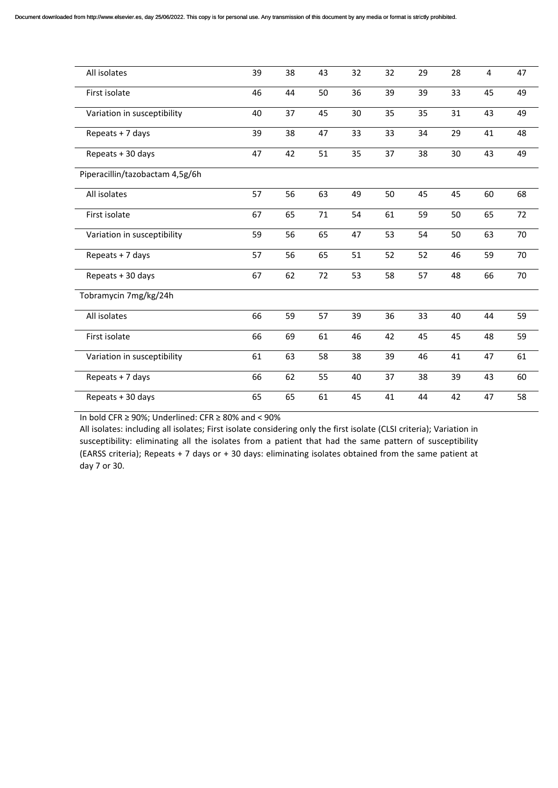| All isolates                    | 39 | 38 | 43 | 32 | 32 | 29 | 28 | 4  | 47 |
|---------------------------------|----|----|----|----|----|----|----|----|----|
| First isolate                   | 46 | 44 | 50 | 36 | 39 | 39 | 33 | 45 | 49 |
| Variation in susceptibility     | 40 | 37 | 45 | 30 | 35 | 35 | 31 | 43 | 49 |
| Repeats + 7 days                | 39 | 38 | 47 | 33 | 33 | 34 | 29 | 41 | 48 |
| Repeats + 30 days               | 47 | 42 | 51 | 35 | 37 | 38 | 30 | 43 | 49 |
| Piperacillin/tazobactam 4,5g/6h |    |    |    |    |    |    |    |    |    |
| All isolates                    | 57 | 56 | 63 | 49 | 50 | 45 | 45 | 60 | 68 |
| First isolate                   | 67 | 65 | 71 | 54 | 61 | 59 | 50 | 65 | 72 |
| Variation in susceptibility     | 59 | 56 | 65 | 47 | 53 | 54 | 50 | 63 | 70 |
| Repeats + 7 days                | 57 | 56 | 65 | 51 | 52 | 52 | 46 | 59 | 70 |
| Repeats + 30 days               | 67 | 62 | 72 | 53 | 58 | 57 | 48 | 66 | 70 |
| Tobramycin 7mg/kg/24h           |    |    |    |    |    |    |    |    |    |
| All isolates                    | 66 | 59 | 57 | 39 | 36 | 33 | 40 | 44 | 59 |
| First isolate                   | 66 | 69 | 61 | 46 | 42 | 45 | 45 | 48 | 59 |
| Variation in susceptibility     | 61 | 63 | 58 | 38 | 39 | 46 | 41 | 47 | 61 |
| Repeats + 7 days                | 66 | 62 | 55 | 40 | 37 | 38 | 39 | 43 | 60 |
| Repeats + 30 days               | 65 | 65 | 61 | 45 | 41 | 44 | 42 | 47 | 58 |

In bold CFR  $\geq$  90%; Underlined: CFR  $\geq$  80% and < 90%

All isolates: including all isolates; First isolate considering only the first isolate (CLSI criteria); Variation in susceptibility: eliminating all the isolates from a patient that had the same pattern of susceptibility (EARSS criteria); Repeats + 7 days or + 30 days: eliminating isolates obtained from the same patient at day 7 or 30.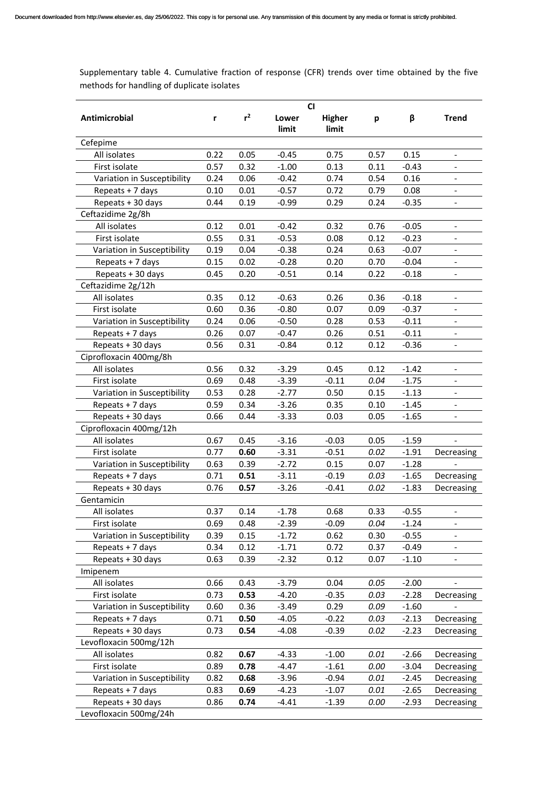Supplementary table 4. Cumulative fraction of response (CFR) trends over time obtained by the five methods for handling of duplicate isolates

|                             |      |       |                | <b>CI</b>       |      |         |                              |
|-----------------------------|------|-------|----------------|-----------------|------|---------|------------------------------|
| Antimicrobial               | r    | $r^2$ | Lower<br>limit | Higher<br>limit | p    | β       | <b>Trend</b>                 |
| Cefepime                    |      |       |                |                 |      |         |                              |
| All isolates                | 0.22 | 0.05  | $-0.45$        | 0.75            | 0.57 | 0.15    |                              |
| First isolate               | 0.57 | 0.32  | $-1.00$        | 0.13            | 0.11 | $-0.43$ |                              |
| Variation in Susceptibility | 0.24 | 0.06  | $-0.42$        | 0.74            | 0.54 | 0.16    | $\overline{\phantom{a}}$     |
| Repeats + 7 days            | 0.10 | 0.01  | $-0.57$        | 0.72            | 0.79 | 0.08    | $\qquad \qquad \blacksquare$ |
| Repeats + 30 days           | 0.44 | 0.19  | $-0.99$        | 0.29            | 0.24 | $-0.35$ | $\overline{\phantom{a}}$     |
| Ceftazidime 2g/8h           |      |       |                |                 |      |         |                              |
| All isolates                | 0.12 | 0.01  | $-0.42$        | 0.32            | 0.76 | $-0.05$ | $\overline{\phantom{a}}$     |
| First isolate               | 0.55 | 0.31  | $-0.53$        | 0.08            | 0.12 | $-0.23$ |                              |
| Variation in Susceptibility | 0.19 | 0.04  | $-0.38$        | 0.24            | 0.63 | $-0.07$ |                              |
| Repeats + 7 days            | 0.15 | 0.02  | $-0.28$        | 0.20            | 0.70 | $-0.04$ |                              |
| Repeats + 30 days           | 0.45 | 0.20  | $-0.51$        | 0.14            | 0.22 | $-0.18$ | $\overline{\phantom{0}}$     |
| Ceftazidime 2g/12h          |      |       |                |                 |      |         |                              |
| All isolates                | 0.35 | 0.12  | $-0.63$        | 0.26            | 0.36 | $-0.18$ | $\overline{\phantom{a}}$     |
| First isolate               | 0.60 | 0.36  | $-0.80$        | 0.07            | 0.09 | $-0.37$ | $\overline{\phantom{a}}$     |
| Variation in Susceptibility | 0.24 | 0.06  | $-0.50$        | 0.28            | 0.53 | $-0.11$ | $\overline{\phantom{a}}$     |
| Repeats + 7 days            | 0.26 | 0.07  | $-0.47$        | 0.26            | 0.51 | $-0.11$ |                              |
| Repeats + 30 days           | 0.56 | 0.31  | $-0.84$        | 0.12            | 0.12 | $-0.36$ | $\overline{\phantom{a}}$     |
| Ciprofloxacin 400mg/8h      |      |       |                |                 |      |         |                              |
| All isolates                | 0.56 | 0.32  | $-3.29$        | 0.45            | 0.12 | $-1.42$ | $\overline{\phantom{a}}$     |
| First isolate               | 0.69 | 0.48  | $-3.39$        | $-0.11$         | 0.04 | $-1.75$ | $\overline{\phantom{a}}$     |
| Variation in Susceptibility | 0.53 | 0.28  | $-2.77$        | 0.50            | 0.15 | $-1.13$ | $\qquad \qquad \blacksquare$ |
| Repeats + 7 days            | 0.59 | 0.34  | $-3.26$        | 0.35            | 0.10 | $-1.45$ | $\overline{\phantom{a}}$     |
| Repeats + 30 days           | 0.66 | 0.44  | $-3.33$        | 0.03            | 0.05 | $-1.65$ | $\overline{\phantom{a}}$     |
| Ciprofloxacin 400mg/12h     |      |       |                |                 |      |         |                              |
| All isolates                | 0.67 | 0.45  | $-3.16$        | $-0.03$         | 0.05 | $-1.59$ |                              |
| First isolate               | 0.77 | 0.60  | $-3.31$        | $-0.51$         | 0.02 | $-1.91$ | Decreasing                   |
| Variation in Susceptibility | 0.63 | 0.39  | $-2.72$        | 0.15            | 0.07 | $-1.28$ |                              |
| Repeats + 7 days            | 0.71 | 0.51  | $-3.11$        | $-0.19$         | 0.03 | $-1.65$ | Decreasing                   |
| Repeats + 30 days           | 0.76 | 0.57  | $-3.26$        | $-0.41$         | 0.02 | $-1.83$ | Decreasing                   |
| Gentamicin                  |      |       |                |                 |      |         |                              |
| All isolates                | 0.37 | 0.14  | $-1.78$        | 0.68            | 0.33 | $-0.55$ | $\overline{\phantom{a}}$     |
| First isolate               | 0.69 | 0.48  | $-2.39$        | $-0.09$         | 0.04 | $-1.24$ |                              |
| Variation in Susceptibility | 0.39 | 0.15  | $-1.72$        | 0.62            | 0.30 | $-0.55$ |                              |
| Repeats + 7 days            | 0.34 | 0.12  | $-1.71$        | 0.72            | 0.37 | $-0.49$ |                              |
| Repeats + 30 days           | 0.63 | 0.39  | $-2.32$        | 0.12            | 0.07 | $-1.10$ |                              |
| Imipenem                    |      |       |                |                 |      |         |                              |
| All isolates                | 0.66 | 0.43  | $-3.79$        | 0.04            | 0.05 | $-2.00$ |                              |
| First isolate               | 0.73 | 0.53  | $-4.20$        | $-0.35$         | 0.03 | $-2.28$ | Decreasing                   |
| Variation in Susceptibility | 0.60 | 0.36  | $-3.49$        | 0.29            | 0.09 | $-1.60$ |                              |
| Repeats + 7 days            | 0.71 | 0.50  | $-4.05$        | $-0.22$         | 0.03 | $-2.13$ | Decreasing                   |
| Repeats + 30 days           | 0.73 | 0.54  | $-4.08$        | $-0.39$         | 0.02 | $-2.23$ | Decreasing                   |
| Levofloxacin 500mg/12h      |      |       |                |                 |      |         |                              |
| All isolates                | 0.82 | 0.67  | $-4.33$        | $-1.00$         | 0.01 | $-2.66$ | Decreasing                   |
| First isolate               | 0.89 | 0.78  | $-4.47$        | $-1.61$         | 0.00 | $-3.04$ | Decreasing                   |
| Variation in Susceptibility | 0.82 | 0.68  | $-3.96$        | $-0.94$         | 0.01 | $-2.45$ | Decreasing                   |
| Repeats + 7 days            | 0.83 | 0.69  | $-4.23$        | $-1.07$         | 0.01 | $-2.65$ | Decreasing                   |
| Repeats + 30 days           | 0.86 | 0.74  | $-4.41$        | $-1.39$         | 0.00 | $-2.93$ | Decreasing                   |
| Levofloxacin 500mg/24h      |      |       |                |                 |      |         |                              |